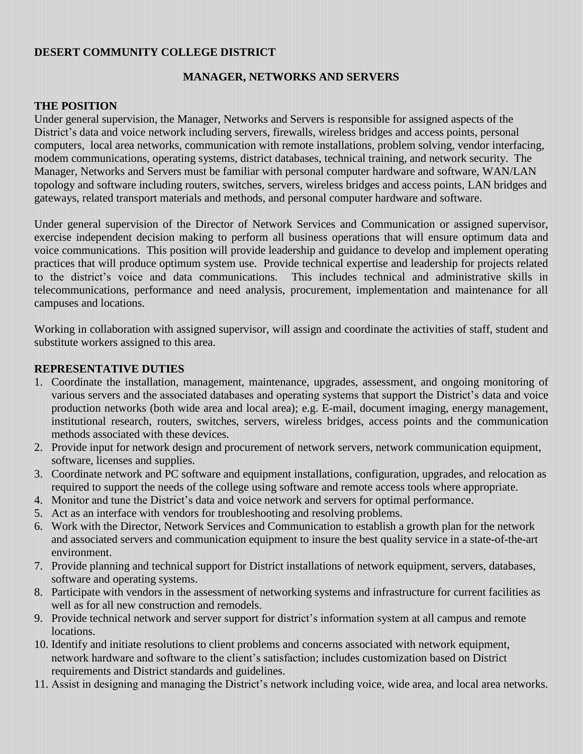### **DESERT COMMUNITY COLLEGE DISTRICT**

### **MANAGER, NETWORKS AND SERVERS**

#### **THE POSITION**

Under general supervision, the Manager, Networks and Servers is responsible for assigned aspects of the District's data and voice network including servers, firewalls, wireless bridges and access points, personal computers, local area networks, communication with remote installations, problem solving, vendor interfacing, modem communications, operating systems, district databases, technical training, and network security. The Manager, Networks and Servers must be familiar with personal computer hardware and software, WAN/LAN topology and software including routers, switches, servers, wireless bridges and access points, LAN bridges and gateways, related transport materials and methods, and personal computer hardware and software.

Under general supervision of the Director of Network Services and Communication or assigned supervisor, exercise independent decision making to perform all business operations that will ensure optimum data and voice communications. This position will provide leadership and guidance to develop and implement operating practices that will produce optimum system use. Provide technical expertise and leadership for projects related to the district's voice and data communications. This includes technical and administrative skills in telecommunications, performance and need analysis, procurement, implementation and maintenance for all campuses and locations.

Working in collaboration with assigned supervisor, will assign and coordinate the activities of staff, student and substitute workers assigned to this area.

#### **REPRESENTATIVE DUTIES**

- 1. Coordinate the installation, management, maintenance, upgrades, assessment, and ongoing monitoring of various servers and the associated databases and operating systems that support the District's data and voice production networks (both wide area and local area); e.g. E-mail, document imaging, energy management, institutional research, routers, switches, servers, wireless bridges, access points and the communication methods associated with these devices.
- 2. Provide input for network design and procurement of network servers, network communication equipment, software, licenses and supplies.
- 3. Coordinate network and PC software and equipment installations, configuration, upgrades, and relocation as required to support the needs of the college using software and remote access tools where appropriate.
- 4. Monitor and tune the District's data and voice network and servers for optimal performance.
- 5. Act as an interface with vendors for troubleshooting and resolving problems.
- 6. Work with the Director, Network Services and Communication to establish a growth plan for the network and associated servers and communication equipment to insure the best quality service in a state-of-the-art environment.
- 7. Provide planning and technical support for District installations of network equipment, servers, databases, software and operating systems.
- 8. Participate with vendors in the assessment of networking systems and infrastructure for current facilities as well as for all new construction and remodels.
- 9. Provide technical network and server support for district's information system at all campus and remote locations.
- 10. Identify and initiate resolutions to client problems and concerns associated with network equipment, network hardware and software to the client's satisfaction; includes customization based on District requirements and District standards and guidelines.
- 11. Assist in designing and managing the District's network including voice, wide area, and local area networks.